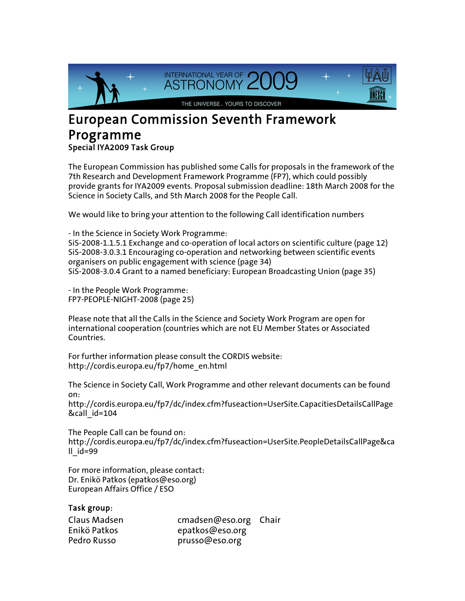

## European Commission Seventh Framework Programme Special IYA2009 Task Group

The European Commission has published some Calls for proposals in the framework of the 7th Research and Development Framework Programme (FP7), which could possibly provide grants for IYA2009 events. Proposal submission deadline: 18th March 2008 for the Science in Society Calls, and 5th March 2008 for the People Call.

We would like to bring your attention to the following Call identification numbers

- In the Science in Society Work Programme: SiS-2008-1.1.5.1 Exchange and co-operation of local actors on scientific culture (page 12) SiS-2008-3.0.3.1 Encouraging co-operation and networking between scientific events organisers on public engagement with science (page 34) SiS-2008-3.0.4 Grant to a named beneficiary: European Broadcasting Union (page 35)

- In the People Work Programme: FP7-PEOPLE-NIGHT-2008 (page 25)

Please note that all the Calls in the Science and Society Work Program are open for international cooperation (countries which are not EU Member States or Associated Countries.

For further information please consult the CORDIS website: http://cordis.europa.eu/fp7/home\_en.html

The Science in Society Call, Work Programme and other relevant documents can be found on:

http://cordis.europa.eu/fp7/dc/index.cfm?fuseaction=UserSite.CapacitiesDetailsCallPage &call\_id=104

The People Call can be found on: http://cordis.europa.eu/fp7/dc/index.cfm?fuseaction=UserSite.PeopleDetailsCallPage&ca  $II$   $id=99$ 

For more information, please contact: Dr. Enikö Patkos (epatkos@eso.org) European Affairs Office / ESO

## Task group:

| Claus Madsen | cmadsen@eso.org Chair |  |
|--------------|-----------------------|--|
| Enikö Patkos | epatkos@eso.org       |  |
| Pedro Russo  | prusso@eso.org        |  |